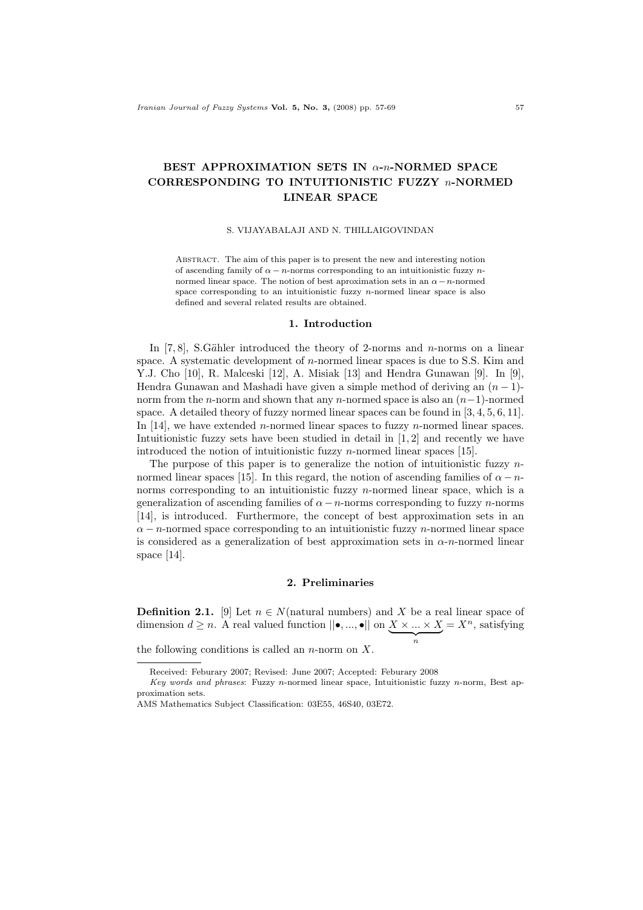# BEST APPROXIMATION SETS IN  $\alpha$ -n-NORMED SPACE CORRESPONDING TO INTUITIONISTIC FUZZY n-NORMED LINEAR SPACE

#### S. VIJAYABALAJI AND N. THILLAIGOVINDAN

ABSTRACT. The aim of this paper is to present the new and interesting notion of ascending family of  $\alpha - n$ -norms corresponding to an intuitionistic fuzzy nnormed linear space. The notion of best aproximation sets in an  $\alpha - n$ -normed space corresponding to an intuitionistic fuzzy  $n$ -normed linear space is also defined and several related results are obtained.

#### 1. Introduction

In  $[7, 8]$ , S.Gähler introduced the theory of 2-norms and *n*-norms on a linear space. A systematic development of n-normed linear spaces is due to S.S. Kim and Y.J. Cho [10], R. Malceski [12], A. Misiak [13] and Hendra Gunawan [9]. In [9], Hendra Gunawan and Mashadi have given a simple method of deriving an  $(n-1)$ norm from the n-norm and shown that any n-normed space is also an  $(n-1)$ -normed space. A detailed theory of fuzzy normed linear spaces can be found in [3, 4, 5, 6, 11]. In [14], we have extended *n*-normed linear spaces to fuzzy *n*-normed linear spaces. Intuitionistic fuzzy sets have been studied in detail in [1, 2] and recently we have introduced the notion of intuitionistic fuzzy *n*-normed linear spaces [15].

The purpose of this paper is to generalize the notion of intuitionistic fuzzy  $n$ normed linear spaces [15]. In this regard, the notion of ascending families of  $\alpha - n$ norms corresponding to an intuitionistic fuzzy  $n$ -normed linear space, which is a generalization of ascending families of  $\alpha - n$ -norms corresponding to fuzzy n-norms [14], is introduced. Furthermore, the concept of best approximation sets in an  $\alpha - n$ -normed space corresponding to an intuitionistic fuzzy n-normed linear space is considered as a generalization of best approximation sets in  $\alpha$ -n-normed linear space [14].

#### 2. Preliminaries

**Definition 2.1.** [9] Let  $n \in N$ (natural numbers) and X be a real linear space of dimension  $d \geq n$ . A real valued function  $||\bullet, ..., \bullet||$  on  $X \times ... \times X$  $\overbrace{n}$  $=X^n$ , satisfying

the following conditions is called an  $n$ -norm on  $X$ .

Received: Feburary 2007; Revised: June 2007; Accepted: Feburary 2008

Key words and phrases: Fuzzy n-normed linear space, Intuitionistic fuzzy n-norm, Best approximation sets.

AMS Mathematics Subject Classification: 03E55, 46S40, 03E72.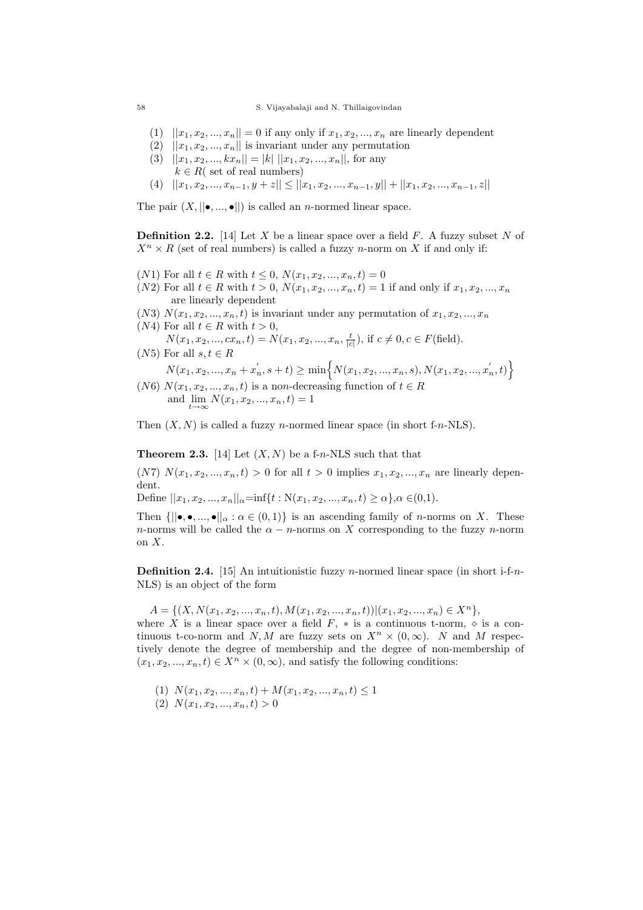#### 58 S. Vijayabalaji and N. Thillaigovindan

- (1)  $||x_1, x_2, ..., x_n|| = 0$  if any only if  $x_1, x_2, ..., x_n$  are linearly dependent
- (2)  $||x_1, x_2, ..., x_n||$  is invariant under any permutation
- (3)  $||x_1, x_2, ..., kx_n|| = |k| ||x_1, x_2, ..., x_n||$ , for any  $k \in R$ ( set of real numbers)
- (4)  $||x_1, x_2, ..., x_{n-1}, y + z|| \le ||x_1, x_2, ..., x_{n-1}, y|| + ||x_1, x_2, ..., x_{n-1}, z||$

The pair  $(X, ||\bullet, ..., \bullet||)$  is called an *n*-normed linear space.

**Definition 2.2.** [14] Let X be a linear space over a field F. A fuzzy subset N of  $X^n \times R$  (set of real numbers) is called a fuzzy *n*-norm on X if and only if:

- (N1) For all  $t \in R$  with  $t \le 0$ ,  $N(x_1, x_2, ..., x_n, t) = 0$
- (N2) For all  $t \in R$  with  $t > 0$ ,  $N(x_1, x_2, ..., x_n, t) = 1$  if and only if  $x_1, x_2, ..., x_n$ are linearly dependent
- (N3)  $N(x_1, x_2, \ldots, x_n, t)$  is invariant under any permutation of  $x_1, x_2, \ldots, x_n$
- (N4) For all  $t \in R$  with  $t > 0$ ,
- $N(x_1, x_2, ..., cx_n, t) = N(x_1, x_2, ..., x_n, \frac{t}{|c|}),$  if  $c \neq 0, c \in F$  (field). (N5) For all  $s, t \in R$

$$
N(x_1, x_2, ..., x_n + x_n^{'}, s + t) \ge \min\left\{N(x_1, x_2, ..., x_n, s), N(x_1, x_2, ..., x_n^{'}, t)\right\}
$$

(N6)  $N(x_1, x_2, ..., x_n, t)$  is a non-decreasing function of  $t \in R$ and  $\lim_{t\to\infty} N(x_1, x_2, ..., x_n, t) = 1$ 

Then  $(X, N)$  is called a fuzzy *n*-normed linear space (in short f-*n*-NLS).

**Theorem 2.3.** [14] Let  $(X, N)$  be a f-n-NLS such that that

(N7)  $N(x_1, x_2, ..., x_n, t) > 0$  for all  $t > 0$  implies  $x_1, x_2, ..., x_n$  are linearly dependent.

Define  $||x_1, x_2, ..., x_n||_{\alpha} = \inf\{t : N(x_1, x_2, ..., x_n, t) \geq \alpha\}, \alpha \in (0,1).$ 

Then  $\{||\bullet,\bullet,...,\bullet||_{\alpha}:\alpha\in(0,1)\}$  is an ascending family of *n*-norms on X. These n-norms will be called the  $\alpha - n$ -norms on X corresponding to the fuzzy n-norm on X.

**Definition 2.4.** [15] An intuitionistic fuzzy *n*-normed linear space (in short i-f-*n*-NLS) is an object of the form

 $A = \{(X, N(x_1, x_2, ..., x_n, t), M(x_1, x_2, ..., x_n, t)) | (x_1, x_2, ..., x_n) \in X^n\},\$ 

where X is a linear space over a field F,  $*$  is a continuous t-norm,  $\diamond$  is a continuous t-co-norm and N, M are fuzzy sets on  $X^n \times (0,\infty)$ . N and M respectively denote the degree of membership and the degree of non-membership of  $(x_1, x_2, ..., x_n, t) \in X^n \times (0, \infty)$ , and satisfy the following conditions:

- (1)  $N(x_1, x_2, ..., x_n, t) + M(x_1, x_2, ..., x_n, t) \leq 1$
- $(2) N(x_1, x_2, ..., x_n, t) > 0$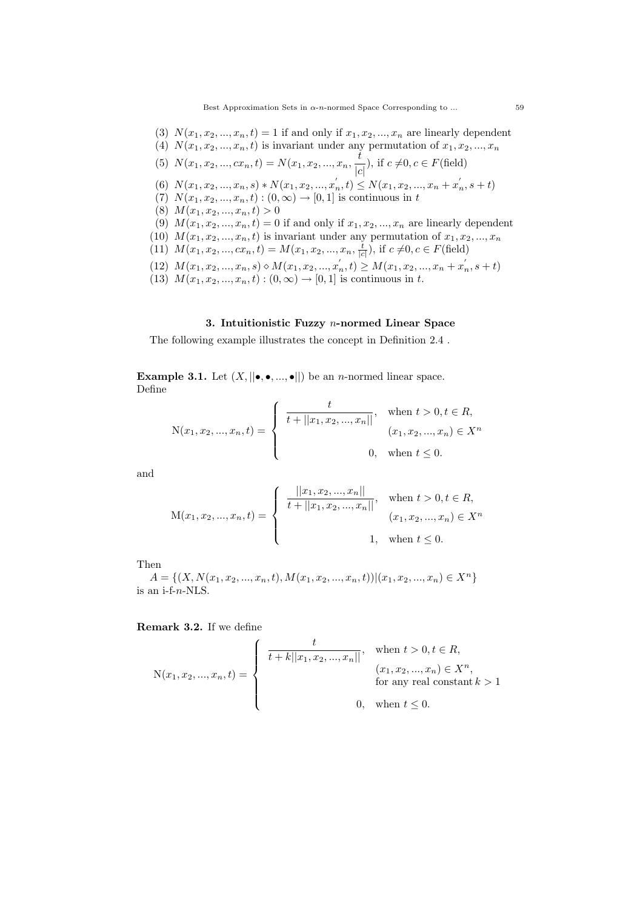Best Approximation Sets in  $\alpha$ -*n*-normed Space Corresponding to ... 59

- (3)  $N(x_1, x_2, ..., x_n, t) = 1$  if and only if  $x_1, x_2, ..., x_n$  are linearly dependent
- (4)  $N(x_1, x_2, \ldots, x_n, t)$  is invariant under any permutation of  $x_1, x_2, \ldots, x_n$ (5)  $N(x_1, x_2, ..., cx_n, t) = N(x_1, x_2, ..., x_n, \frac{t}{t-1}),$  if  $c \neq 0, c \in F$  (field)

(a) 
$$
Y(x_1, x_2, ..., x_n, v) = Y(x_1, x_2, ..., x_n) \begin{vmatrix} c \\ v \end{vmatrix}
$$
, if  $c \neq 0, c \in Y$  (field)

- (6)  $N(x_1, x_2, ..., x_n, s) * N(x_1, x_2, ..., x'_n, t) \le N(x_1, x_2, ..., x_n + x'_n, s + t)$
- (7)  $N(x_1, x_2, ..., x_n, t) : (0, \infty) \to [0, 1]$  is continuous in t
- (8)  $M(x_1, x_2, ..., x_n, t) > 0$
- (9)  $M(x_1, x_2, ..., x_n, t) = 0$  if and only if  $x_1, x_2, ..., x_n$  are linearly dependent
- (10)  $M(x_1, x_2, \ldots, x_n, t)$  is invariant under any permutation of  $x_1, x_2, \ldots, x_n$
- (11)  $M(x_1, x_2, ..., cx_n, t) = M(x_1, x_2, ..., x_n, \frac{t}{|c|}),$  if  $c \neq 0, c \in F$  (field)
- (12)  $M(x_1, x_2, ..., x_n, s) \diamond M(x_1, x_2, ..., x'_n, t) \ge M(x_1, x_2, ..., x_n + x'_n, s + t)$
- (13)  $M(x_1, x_2, ..., x_n, t) : (0, \infty) \to [0, 1]$  is continuous in t.

### 3. Intuitionistic Fuzzy n-normed Linear Space

The following example illustrates the concept in Definition 2.4 .

**Example 3.1.** Let  $(X, ||\bullet,\bullet,...,\bullet||)$  be an *n*-normed linear space. Define

$$
N(x_1, x_2, ..., x_n, t) = \begin{cases} \frac{t}{t + ||x_1, x_2, ..., x_n||}, & \text{when } t > 0, t \in R, \\ (x_1, x_2, ..., x_n) \in X^n \\ 0, & \text{when } t \le 0. \end{cases}
$$

and

$$
\mathbf{M}(x_1, x_2, ..., x_n, t) = \begin{cases} \frac{||x_1, x_2, ..., x_n||}{t + ||x_1, x_2, ..., x_n||}, & \text{when } t > 0, t \in R, \\ \frac{||x_1, x_2, ..., x_n||}{(x_1, x_2, ..., x_n) \in X^n} \\ 1, & \text{when } t \le 0. \end{cases}
$$

Then

 $A = \{(X, N(x_1, x_2, ..., x_n, t), M(x_1, x_2, ..., x_n, t)) | (x_1, x_2, ..., x_n) \in X^n\}$ is an i-f-n-NLS.

Remark 3.2. If we define

$$
N(x_1, x_2, ..., x_n, t) = \begin{cases} \frac{t}{t + k||x_1, x_2, ..., x_n||}, & \text{when } t > 0, t \in R, \\ (x_1, x_2, ..., x_n) \in X^n, \\ & \text{for any real constant } k > 1 \\ 0, & \text{when } t \le 0. \end{cases}
$$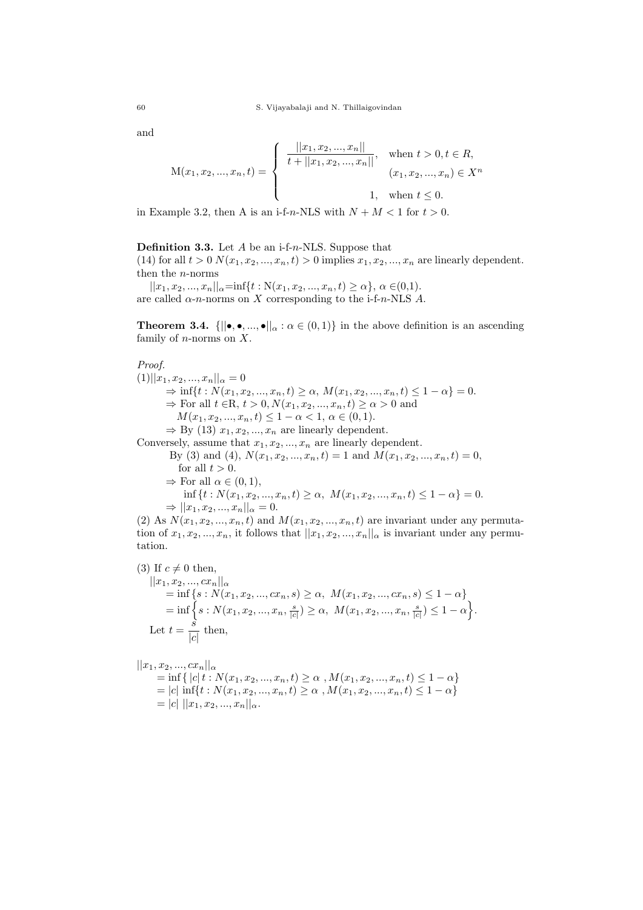and

$$
M(x_1, x_2, ..., x_n, t) = \begin{cases} \frac{||x_1, x_2, ..., x_n||}{t + ||x_1, x_2, ..., x_n||}, & \text{when } t > 0, t \in R, \\ (x_1, x_2, ..., x_n) \in X^n \\ 1, & \text{when } t \le 0. \end{cases}
$$

in Example 3.2, then A is an i-f-n-NLS with  $N + M < 1$  for  $t > 0$ .

**Definition 3.3.** Let  $A$  be an i-f-n-NLS. Suppose that

(14) for all  $t > 0$   $N(x_1, x_2, ..., x_n, t) > 0$  implies  $x_1, x_2, ..., x_n$  are linearly dependent. then the n-norms

 $||x_1, x_2, ..., x_n||_{\alpha} = \inf\{t : N(x_1, x_2, ..., x_n, t) \ge \alpha\}, \alpha \in (0,1).$ are called  $\alpha$ -n-norms on X corresponding to the i-f-n-NLS A.

**Theorem 3.4.**  $\{||\bullet,\bullet,...,\bullet||_{\alpha} : \alpha \in (0,1)\}$  in the above definition is an ascending family of *n*-norms on  $X$ .

### Proof.

 $(1)||x_1, x_2, ..., x_n||_{\alpha} = 0$  $\Rightarrow \inf\{t: N(x_1, x_2, ..., x_n, t) \ge \alpha, M(x_1, x_2, ..., x_n, t) \le 1 - \alpha\} = 0.$  $\Rightarrow$  For all  $t \in \mathbb{R}, t > 0, N(x_1, x_2, ..., x_n, t) \ge \alpha > 0$  and  $M(x_1, x_2, ..., x_n, t) \leq 1 - \alpha < 1, \alpha \in (0, 1).$  $\Rightarrow$  By (13)  $x_1, x_2, ..., x_n$  are linearly dependent. Conversely, assume that  $x_1, x_2, ..., x_n$  are linearly dependent. By (3) and (4),  $N(x_1, x_2, ..., x_n, t) = 1$  and  $M(x_1, x_2, ..., x_n, t) = 0$ , for all  $t > 0$ .  $\Rightarrow$  For all  $\alpha \in (0, 1)$ ,  $\inf\{t: N(x_1, x_2, ..., x_n, t)\geq \alpha, M(x_1, x_2, ..., x_n, t)\leq 1-\alpha\}=0.$ 

$$
\Rightarrow ||x_1, x_2, ..., x_n||_{\alpha} = 0.
$$

(2) As  $N(x_1, x_2, ..., x_n, t)$  and  $M(x_1, x_2, ..., x_n, t)$  are invariant under any permutation of  $x_1, x_2, ..., x_n$ , it follows that  $||x_1, x_2, ..., x_n||_{\alpha}$  is invariant under any permutation.

(3) If  $c \neq 0$  then,  $||x_1, x_2, ..., cx_n||_{\alpha}$  $=\inf\left\{s: N(x_1, x_2, ..., cx_n, s) \geq \alpha, M(x_1, x_2, ..., cx_n, s) \leq 1-\alpha\right\}$  $=\inf\Big\{s: N(x_1, x_2, ..., x_n, \frac{s}{|c|})\geq \alpha, \ M(x_1, x_2, ..., x_n, \frac{s}{|c|})\leq 1-\alpha\Big\}.$ Let  $t = \frac{\dot{s}}{s}$  $\frac{c}{|c|}$  then,

$$
||x_1, x_2, ..., cx_n||_{\alpha}
$$
  
= inf { |c| t : N(x\_1, x\_2, ..., x\_n, t) ≥ \alpha , M(x\_1, x\_2, ..., x\_n, t) ≤ 1 - \alpha }  
= |c| inf{t : N(x\_1, x\_2, ..., x\_n, t) ≥ \alpha , M(x\_1, x\_2, ..., x\_n, t) ≤ 1 - \alpha }  
= |c| ||x\_1, x\_2, ..., x\_n||\_{\alpha}.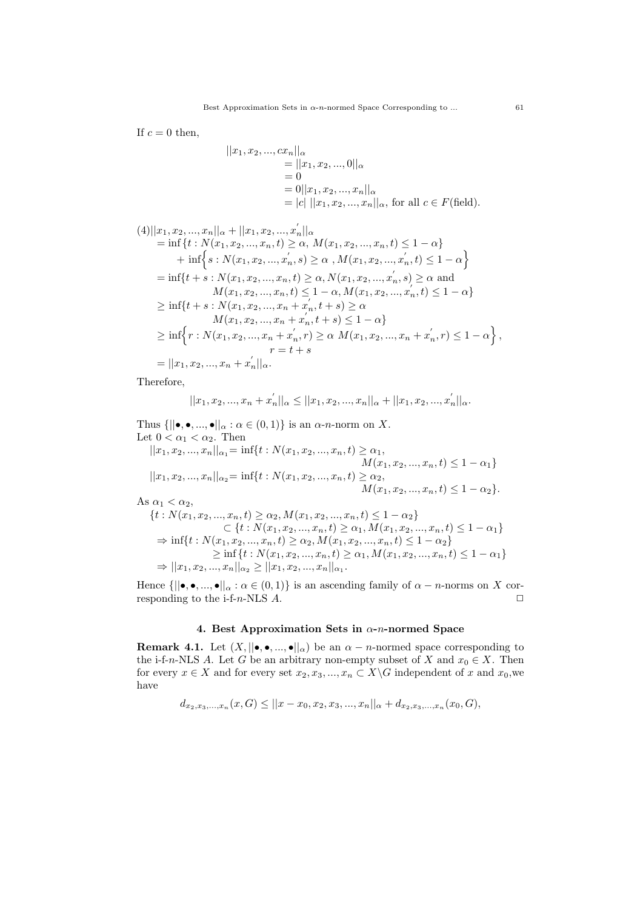If  $c = 0$  then,

$$
||x_1, x_2, ..., cx_n||_{\alpha}
$$
  
=  $||x_1, x_2, ..., 0||_{\alpha}$   
= 0  
=  $0||x_1, x_2, ..., x_n||_{\alpha}$   
=  $|c| ||x_1, x_2, ..., x_n||_{\alpha}$ , for all  $c \in F$  (field).

$$
(4)||x_1, x_2, ..., x_n||_{\alpha} + ||x_1, x_2, ..., x'_n||_{\alpha}
$$
  
= inf{t : N(x\_1, x\_2, ..., x\_n, t) ≥ \alpha, M(x\_1, x\_2, ..., x\_n, t) ≤ 1 - \alpha}  
+ inf{s : N(x\_1, x\_2, ..., x'\_n, s) ≥ \alpha, M(x\_1, x\_2, ..., x'\_n, t) ≤ 1 - \alpha}  
= inf{t + s : N(x\_1, x\_2, ..., x\_n, t) ≥ \alpha, N(x\_1, x\_2, ..., x'\_n, s) ≥ \alpha and  
M(x\_1, x\_2, ..., x\_n, t) ≤ 1 - \alpha, M(x\_1, x\_2, ..., x'\_n, t) ≤ 1 - \alpha}  
≥ inf{t + s : N(x\_1, x\_2, ..., x\_n + x'\_n, t + s) ≥ \alpha  
M(x\_1, x\_2, ..., x\_n + x'\_n, t + s) ≤ 1 - \alpha}  
≥ inf{r : N(x\_1, x\_2, ..., x\_n + x'\_n, r) ≥ \alpha M(x\_1, x\_2, ..., x\_n + x'\_n, r) ≤ 1 - \alpha},  
r = t + s  
= ||x\_1, x\_2, ..., x\_n + x'\_n||\_{\alpha}

Therefore,

$$
||x_1, x_2, ..., x_n + x'_n||_{\alpha} \le ||x_1, x_2, ..., x_n||_{\alpha} + ||x_1, x_2, ..., x'_n||_{\alpha}.
$$

 $\overline{\phantom{a}}$ 

Thus  $\{||\bullet,\bullet,...,\bullet||_{\alpha} : \alpha \in (0,1)\}$  is an  $\alpha$ -n-norm on X. Let  $0 < \alpha_1 < \alpha_2$ . Then  $||x_1, x_2, ..., x_n||_{\alpha_1} = \inf\{t : N(x_1, x_2, ..., x_n, t) \ge \alpha_1,$ 

$$
||x_1, x_2, ..., x_n||_{\alpha_2} = \inf\{t : N(x_1, x_2, ..., x_n, t) \ge \alpha_2, \nM(x_1, x_2, ..., x_n, t) \le 1 - \alpha_1\}.
$$

As  $\alpha_1 < \alpha_2$ ,

$$
\{t: N(x_1, x_2, ..., x_n, t) \ge \alpha_2, M(x_1, x_2, ..., x_n, t) \le 1 - \alpha_2\}
$$
\n
$$
\{t: N(x_1, x_2, ..., x_n, t) \ge \alpha_1, M(x_1, x_2, ..., x_n, t) \le 1 - \alpha_1\}
$$
\n
$$
\Rightarrow \inf\{t: N(x_1, x_2, ..., x_n, t) \ge \alpha_2, M(x_1, x_2, ..., x_n, t) \le 1 - \alpha_2\}
$$
\n
$$
\ge \inf\{t: N(x_1, x_2, ..., x_n, t) \ge \alpha_1, M(x_1, x_2, ..., x_n, t) \le 1 - \alpha_1\}
$$
\n
$$
\Rightarrow ||x_1, x_2, ..., x_n||_{\alpha_2} \ge ||x_1, x_2, ..., x_n||_{\alpha_1}.
$$

Hence  $\{||\bullet,\bullet,...,\bullet||_{\alpha}:\alpha\in(0,1)\}$  is an ascending family of  $\alpha-n$ -norms on X corresponding to the i-f-n-NLS  $A$ .  $\Box$ 

### 4. Best Approximation Sets in  $\alpha$ -n-normed Space

**Remark 4.1.** Let  $(X, ||\bullet,\bullet,...,\bullet||_{\alpha})$  be an  $\alpha - n$ -normed space corresponding to the i-f-n-NLS A. Let G be an arbitrary non-empty subset of X and  $x_0 \in X$ . Then for every  $x \in X$  and for every set  $x_2, x_3, ..., x_n \subset X \backslash G$  independent of x and  $x_0$ , we have

$$
d_{x_2,x_3,...,x_n}(x,G) \le ||x-x_0,x_2,x_3,...,x_n||_{\alpha} + d_{x_2,x_3,...,x_n}(x_0,G),
$$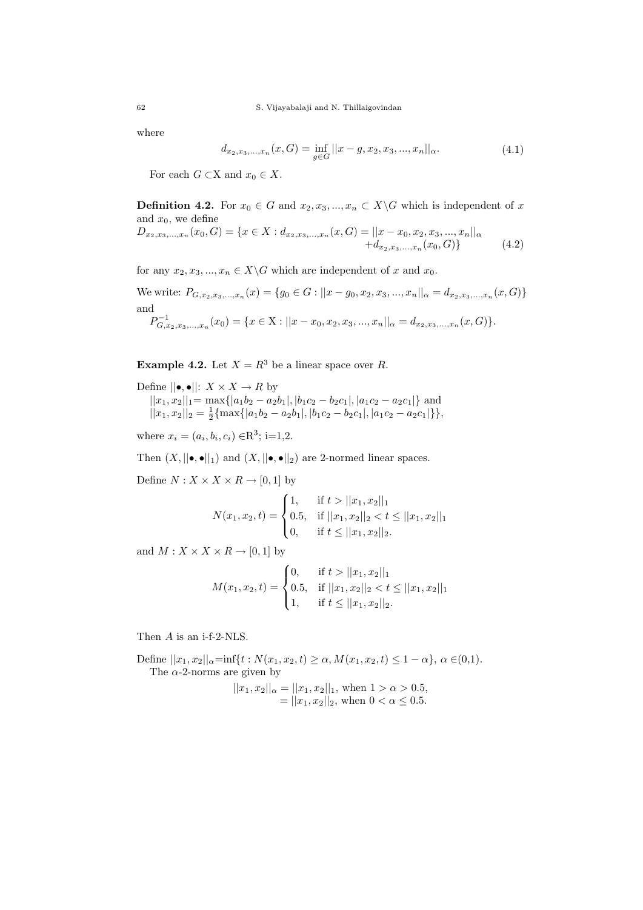where

$$
d_{x_2,x_3,...,x_n}(x,G) = \inf_{g \in G} ||x - g, x_2, x_3, ..., x_n||_{\alpha}.
$$
 (4.1)

For each  $G \subset X$  and  $x_0 \in X$ .

**Definition 4.2.** For  $x_0 \in G$  and  $x_2, x_3, ..., x_n \in X \backslash G$  which is independent of x and  $x_0$ , we define

$$
D_{x_2,x_3,...,x_n}(x_0, G) = \{x \in X : d_{x_2,x_3,...,x_n}(x, G) = ||x - x_0, x_2, x_3, ..., x_n||_{\alpha} \newline + d_{x_2,x_3,...,x_n}(x_0, G)\}\n \tag{4.2}
$$

for any  $x_2, x_3, ..., x_n \in X \backslash G$  which are independent of x and  $x_0$ .

We write:  $P_{G,x_2,x_3,...,x_n}(x) = \{g_0 \in G : ||x - g_0, x_2, x_3,...,x_n||_{\alpha} = d_{x_2,x_3,...,x_n}(x, G)\}\$ and

$$
P_{G,x_2,x_3,...,x_n}^{-1}(x_0) = \{x \in X : ||x - x_0, x_2, x_3,...,x_n||_{\alpha} = d_{x_2,x_3,...,x_n}(x, G)\}.
$$

**Example 4.2.** Let  $X = R^3$  be a linear space over R.

Define  $||\bullet,\bullet||: X \times X \to R$  by  $||x_1, x_2||_1 = \max\{|a_1b_2 - a_2b_1|, |b_1c_2 - b_2c_1|, |a_1c_2 - a_2c_1|\}$  and  $||x_1, x_2||_2 = \frac{1}{2} \{ \max\{|a_1b_2 - a_2b_1|, |b_1c_2 - b_2c_1|, |a_1c_2 - a_2c_1|\}\},$ 

where  $x_i = (a_i, b_i, c_i) \in \mathbb{R}^3$ ; i=1,2.

Then  $(X, ||\bullet,\bullet||_1)$  and  $(X, ||\bullet,\bullet||_2)$  are 2-normed linear spaces.

Define  $N: X \times X \times R \rightarrow [0,1]$  by

$$
N(x_1, x_2, t) = \begin{cases} 1, & \text{if } t > ||x_1, x_2||_1 \\ 0.5, & \text{if } ||x_1, x_2||_2 < t \le ||x_1, x_2||_1 \\ 0, & \text{if } t \le ||x_1, x_2||_2. \end{cases}
$$

and  $M: X \times X \times R \rightarrow [0, 1]$  by

$$
M(x_1, x_2, t) = \begin{cases} 0, & \text{if } t > ||x_1, x_2||_1 \\ 0.5, & \text{if } ||x_1, x_2||_2 < t \le ||x_1, x_2||_1 \\ 1, & \text{if } t \le ||x_1, x_2||_2. \end{cases}
$$

Then A is an i-f-2-NLS.

Define  $||x_1, x_2||_{\alpha} = \inf\{t : N(x_1, x_2, t) \ge \alpha, M(x_1, x_2, t) \le 1 - \alpha\}, \alpha \in (0, 1).$ The  $\alpha$ -2-norms are given by

$$
||x_1, x_2||_{\alpha} = ||x_1, x_2||_1, \text{ when } 1 > \alpha > 0.5,
$$
  
=  $||x_1, x_2||_2$ , when  $0 < \alpha \le 0.5$ .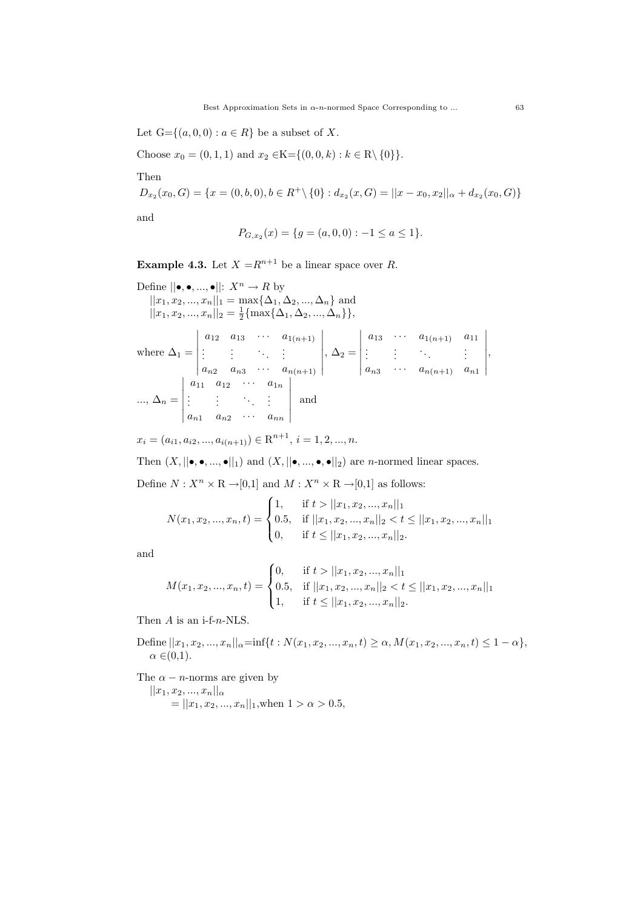Let  $G = \{(a, 0, 0) : a \in R\}$  be a subset of X.

Choose  $x_0 = (0, 1, 1)$  and  $x_2 \in K = \{(0, 0, k) : k \in \mathbb{R} \setminus \{0\}\}.$ 

Then

$$
D_{x_2}(x_0, G) = \{x = (0, b, 0), b \in R^+ \setminus \{0\} : d_{x_2}(x, G) = ||x - x_0, x_2||_{\alpha} + d_{x_2}(x_0, G)\}
$$

and

$$
P_{G,x_2}(x) = \{g = (a,0,0) : -1 \le a \le 1\}.
$$

**Example 4.3.** Let  $X = R^{n+1}$  be a linear space over R.

Define  $||\bullet,\bullet,...,\bullet||: X^n \to R$  by  $||x_1, x_2, ..., x_n||_1 = \max\{\Delta_1, \Delta_2, ..., \Delta_n\}$  and  $||x_1, x_2, ..., x_n||_2 = \frac{1}{2} \{\max\{\Delta_1, \Delta_2, ..., \Delta_n\}\},\$  $\begin{vmatrix} a_{12} & a_{13} & \cdots & a_{1(n+1)} \end{vmatrix}$   $\begin{vmatrix} a_{13} & \cdots & a_{1(n+1)} & a_{11} \end{vmatrix}$ 

where 
$$
\Delta_1 = \begin{vmatrix} a_{12} & a_{13} & a_{1(n+1)} \\ \vdots & \vdots & \ddots & \vdots \\ a_{n2} & a_{n3} & \cdots & a_{n(n+1)} \\ \vdots & \vdots & \ddots & \vdots \\ a_{n1} & a_{12} & \cdots & a_{1n} \\ \vdots & \vdots & \ddots & \vdots \\ a_{n1} & a_{n2} & \cdots & a_{nn} \end{vmatrix}
$$
,  $\Delta_2 = \begin{vmatrix} a_{13} & a_{13} & a_{1(n+1)} & a_{11} \\ \vdots & \vdots & \ddots & \vdots \\ a_{n3} & \cdots & a_{n(n+1)} & a_{n1} \\ \vdots & \vdots & \ddots & \vdots \\ a_{n1} & a_{n2} & \cdots & a_{nn} \end{vmatrix}$ ,

$$
x_i = (a_{i1}, a_{i2}, ..., a_{i(n+1)}) \in \mathbb{R}^{n+1}, i = 1, 2, ..., n.
$$

Then  $(X, ||\bullet,\bullet,...,\bullet||_1)$  and  $(X, ||\bullet,...,\bullet,\bullet||_2)$  are *n*-normed linear spaces.

Define  $N: X^n \times \mathbb{R} \rightarrow [0,1]$  and  $M: X^n \times \mathbb{R} \rightarrow [0,1]$  as follows:

$$
N(x_1, x_2, ..., x_n, t) = \begin{cases} 1, & \text{if } t > ||x_1, x_2, ..., x_n||_1 \\ 0.5, & \text{if } ||x_1, x_2, ..., x_n||_2 < t \le ||x_1, x_2, ..., x_n||_1 \\ 0, & \text{if } t \le ||x_1, x_2, ..., x_n||_2. \end{cases}
$$

and

$$
M(x_1, x_2, ..., x_n, t) = \begin{cases} 0, & \text{if } t > ||x_1, x_2, ..., x_n||_1 \\ 0.5, & \text{if } ||x_1, x_2, ..., x_n||_2 < t \le ||x_1, x_2, ..., x_n||_1 \\ 1, & \text{if } t \le ||x_1, x_2, ..., x_n||_2. \end{cases}
$$

Then  $A$  is an i-f-n-NLS.

Define  $||x_1, x_2, ..., x_n||_{\alpha} = \inf\{t : N(x_1, x_2, ..., x_n, t) \ge \alpha, M(x_1, x_2, ..., x_n, t) \le 1 - \alpha\},\$  $\alpha \in (0,1)$ .

The  $\alpha - n$ -norms are given by  $||x_1, x_2, ..., x_n||_{\alpha}$ 

$$
= ||x_1, x_2, ..., x_n||_1, \text{when } 1 > \alpha > 0.5,
$$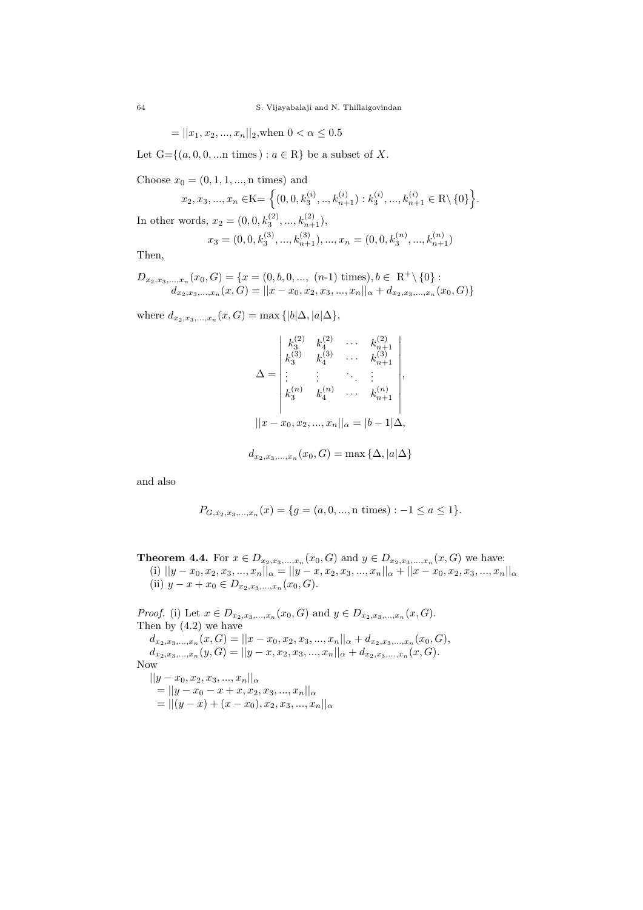$$
= ||x_1, x_2, ..., x_n||_2, \text{when } 0 < \alpha \le 0.5
$$

Let  $G = \{(a, 0, 0, \dots n \text{ times}) : a \in \mathbb{R}\}\)$  be a subset of X.

Choose  $x_0 = (0, 1, 1, ..., n$  times) and

$$
x_2, x_3, ..., x_n \in K = \left\{ (0, 0, k_3^{(i)}, ..., k_{n+1}^{(i)}) : k_3^{(i)}, ..., k_{n+1}^{(i)} \in \mathbb{R} \setminus \{0\} \right\}.
$$

In other words,  $x_2 = (0, 0, k_3^{(2)}, ..., k_{n+1}^{(2)}),$ 

$$
x_3=(0,0,k^{(3)}_3,...,k^{(3)}_{n+1}),...,x_n=(0,0,k^{(n)}_3,...,k^{(n)}_{n+1})\;
$$

Then,

$$
D_{x_2,x_3,...,x_n}(x_0, G) = \{x = (0, b, 0, ..., (n-1) \text{ times}), b \in \mathbb{R}^+ \setminus \{0\} : d_{x_2,x_3,...,x_n}(x, G) = ||x - x_0, x_2, x_3, ..., x_n||_{\alpha} + d_{x_2,x_3,...,x_n}(x_0, G)\}
$$

where  $d_{x_2, x_3,...,x_n}(x, G) = \max\{|b| \Delta, |a| \Delta\},\$ 

$$
\Delta = \begin{vmatrix} k_3^{(2)} & k_4^{(2)} & \cdots & k_{n+1}^{(2)} \\ k_3^{(3)} & k_4^{(3)} & \cdots & k_{n+1}^{(3)} \\ \vdots & \vdots & \ddots & \vdots \\ k_3^{(n)} & k_4^{(n)} & \cdots & k_{n+1}^{(n)} \\ \vdots & \vdots & \ddots & \vdots \\ k_3^{(n)} & k_4^{(n)} & \cdots & k_{n+1}^{(n)} \end{vmatrix},
$$
  
\n
$$
||x - x_0, x_2, ..., x_n||_{\alpha} = |b - 1|\Delta,
$$

$$
d_{x_2,x_3,\ldots,x_n}(x_0,G)=\max\{\Delta,|a|\Delta\}
$$

and also

$$
P_{G,x_2,x_3,...,x_n}(x) = \{g = (a,0,...,n \text{ times}) : -1 \le a \le 1\}.
$$

**Theorem 4.4.** For  $x \in D_{x_2, x_3, ..., x_n}(x_0, G)$  and  $y \in D_{x_2, x_3, ..., x_n}(x, G)$  we have: (i)  $||y-x_0, x_2, x_3, ..., x_n||_{\alpha} = ||y-x, x_2, x_3, ..., x_n||_{\alpha} + ||x-x_0, x_2, x_3, ..., x_n||_{\alpha}$ (ii)  $y - x + x_0 \in D_{x_2, x_3, ..., x_n}(x_0, G)$ .

*Proof.* (i) Let  $x \in D_{x_2, x_3, ..., x_n}(x_0, G)$  and  $y \in D_{x_2, x_3, ..., x_n}(x, G)$ . Then by  $(4.2)$  we have  $d_{x_2,x_3,...,x_n}(x, G) = ||x - x_0, x_2, x_3,...,x_n||_{\alpha} + d_{x_2,x_3,...,x_n}(x_0, G),$  $d_{x_2,x_3,...,x_n}(y,G) = ||y-x,x_2,x_3,...,x_n||_{\alpha} + d_{x_2,x_3,...,x_n}(x,G).$ Now  $||y - x_0, x_2, x_3, ..., x_n||_{\alpha}$  $= ||y - x_0 - x + x, x_2, x_3, ..., x_n||_{\alpha}$  $= ||(y-x) + (x-x_0), x_2, x_3, ..., x_n||_{\alpha}$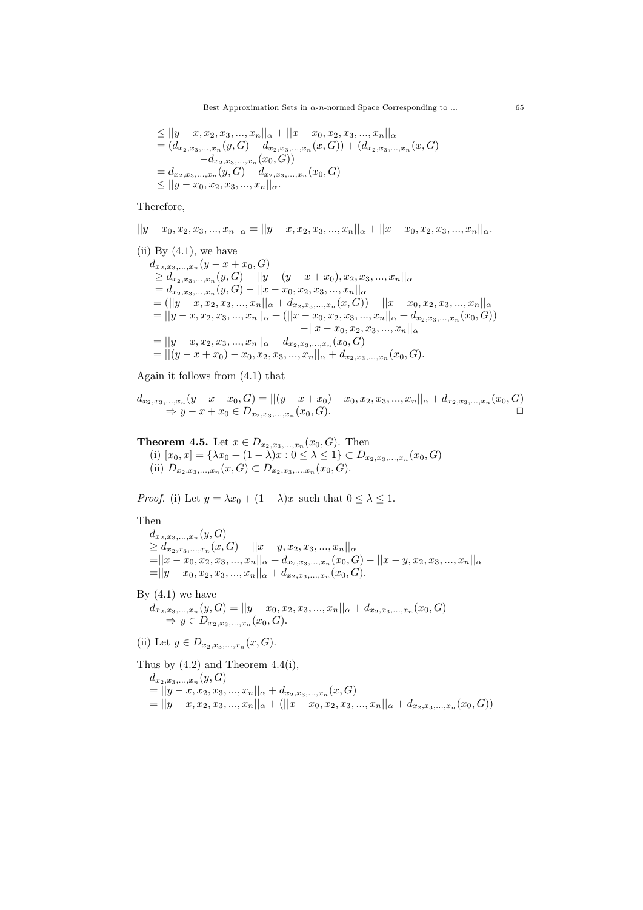Best Approximation Sets in  $\alpha$ -n-normed Space Corresponding to ... 65

$$
\leq ||y-x, x_2, x_3, ..., x_n||_{\alpha} + ||x-x_0, x_2, x_3, ..., x_n||_{\alpha}
$$
  
=  $(d_{x_2, x_3,...,x_n}(y, G) - d_{x_2, x_3,...,x_n}(x, G)) + (d_{x_2, x_3,...,x_n}(x, G))$   
=  $d_{x_2, x_3,...,x_n}(y, G) - d_{x_2, x_3,...,x_n}(x_0, G)$   
 $\leq ||y-x_0, x_2, x_3,...,x_n||_{\alpha}$ .

#### Therefore,

$$
||y-x_0, x_2, x_3, ..., x_n||_{\alpha} = ||y-x, x_2, x_3, ..., x_n||_{\alpha} + ||x-x_0, x_2, x_3, ..., x_n||_{\alpha}.
$$

(ii) By (4.1), we have  
\n
$$
d_{x_2,x_3,...,x_n}(y-x+x_0,G)
$$
\n
$$
\geq d_{x_2,x_3,...,x_n}(y,G) - ||y - (y - x + x_0), x_2, x_3, ..., x_n||_{\alpha}
$$
\n
$$
= d_{x_2,x_3,...,x_n}(y,G) - ||x - x_0, x_2, x_3, ..., x_n||_{\alpha}
$$
\n
$$
= (||y - x, x_2, x_3, ..., x_n||_{\alpha} + d_{x_2,x_3,...,x_n}(x,G)) - ||x - x_0, x_2, x_3, ..., x_n||_{\alpha}
$$
\n
$$
= ||y - x, x_2, x_3, ..., x_n||_{\alpha} + (||x - x_0, x_2, x_3, ..., x_n||_{\alpha} + d_{x_2,x_3,...,x_n}(x_0,G))
$$
\n
$$
= ||y - x, x_2, x_3, ..., x_n||_{\alpha} + d_{x_2,x_3,...,x_n}(x_0,G)
$$
\n
$$
= ||(y - x + x_0) - x_0, x_2, x_3, ..., x_n||_{\alpha} + d_{x_2,x_3,...,x_n}(x_0,G).
$$

### Again it follows from (4.1) that

$$
d_{x_2,x_3,...,x_n}(y-x+x_0,G) = ||(y-x+x_0) - x_0, x_2, x_3,...,x_n||_{\alpha} + d_{x_2,x_3,...,x_n}(x_0,G)
$$
  
\n
$$
\Rightarrow y - x + x_0 \in D_{x_2,x_3,...,x_n}(x_0,G).
$$

## **Theorem 4.5.** Let  $x \in D_{x_2, x_3, ..., x_n}(x_0, G)$ . Then (i)  $[x_0, x] = {\lambda x_0 + (1 - \lambda)x : 0 \le \lambda \le 1} \subset D_{x_2, x_3, ..., x_n}(x_0, G)$ (ii)  $D_{x_2,x_3,...,x_n}(x, G) \subset D_{x_2,x_3,...,x_n}(x_0, G).$

*Proof.* (i) Let  $y = \lambda x_0 + (1 - \lambda)x$  such that  $0 \le \lambda \le 1$ .

Then

 $d_{x_2,x_3,...,x_n}(y, G)$  $\geq d_{x_2,x_3,...,x_n}(x,G)-||x-y,x_2,x_3,...,x_n||_{\alpha}$  $=$   $||x-x_0, x_2, x_3, ..., x_n||_{\alpha} + d_{x_2, x_3,...,x_n}(x_0, G) - ||x-y, x_2, x_3, ..., x_n||_{\alpha}$  $=$   $||y - x_0, x_2, x_3, ..., x_n||_{\alpha} + d_{x_2, x_3,...,x_n}(x_0, G).$ 

By  $(4.1)$  we have

$$
d_{x_2,x_3,...,x_n}(y,G) = ||y-x_0,x_2,x_3,...,x_n||_{\alpha} + d_{x_2,x_3,...,x_n}(x_0,G)
$$
  
\n
$$
\Rightarrow y \in D_{x_2,x_3,...,x_n}(x_0,G).
$$

(ii) Let  $y \in D_{x_2, x_3, ..., x_n}(x, G)$ .

Thus by  $(4.2)$  and Theorem  $4.4(i)$ ,

$$
d_{x_2,x_3,...,x_n}(y,G)
$$
  
=  $||y-x, x_2, x_3,...,x_n||_{\alpha} + d_{x_2,x_3,...,x_n}(x,G)$   
=  $||y-x, x_2, x_3,...,x_n||_{\alpha} + (||x-x_0, x_2, x_3,...,x_n||_{\alpha} + d_{x_2,x_3,...,x_n}(x_0,G))$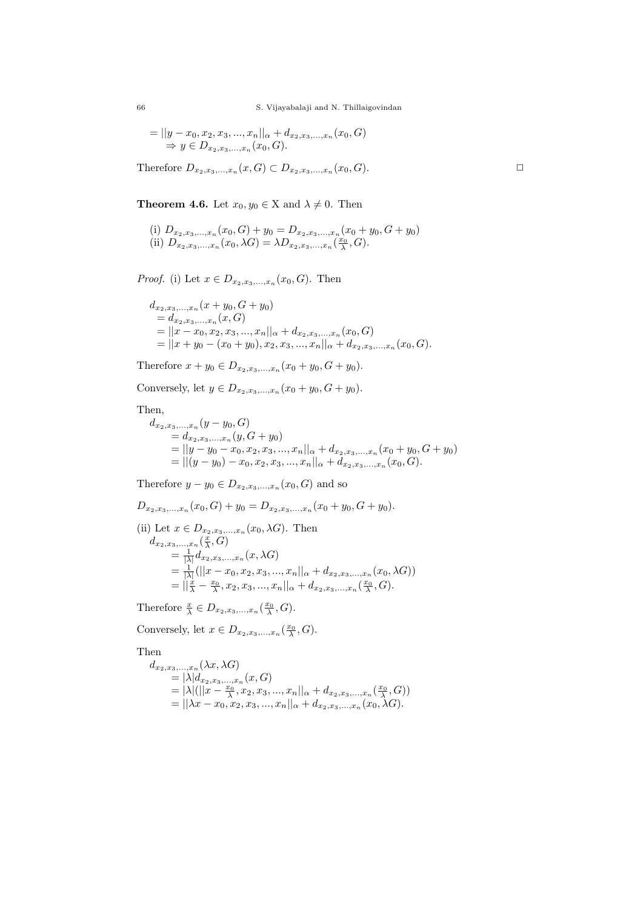66 S. Vijayabalaji and N. Thillaigovindan

$$
= ||y-x_0, x_2, x_3, ..., x_n||_{\alpha} + d_{x_2, x_3, ..., x_n}(x_0, G)
$$
  
\n
$$
\Rightarrow y \in D_{x_2, x_3, ..., x_n}(x_0, G).
$$

Therefore  $D_{x_2,x_3,...,x_n}(x, G) \subset D_{x_2,x_3,...,x_n}(x_0, G)$ .

**Theorem 4.6.** Let  $x_0, y_0 \in X$  and  $\lambda \neq 0$ . Then

(i) 
$$
D_{x_2, x_3,...,x_n}(x_0, G) + y_0 = D_{x_2, x_3,...,x_n}(x_0 + y_0, G + y_0)
$$
  
(ii)  $D_{x_2, x_3,...,x_n}(x_0, \lambda G) = \lambda D_{x_2, x_3,...,x_n}(\frac{x_0}{\lambda}, G).$ 

*Proof.* (i) Let  $x \in D_{x_2, x_3, ..., x_n}(x_0, G)$ . Then

$$
d_{x_2,x_3,...,x_n}(x+y_0, G+y_0)
$$
  
=  $d_{x_2,x_3,...,x_n}(x, G)$   
=  $||x-x_0, x_2, x_3,...,x_n||_{\alpha} + d_{x_2,x_3,...,x_n}(x_0, G)$   
=  $||x+y_0 - (x_0+y_0), x_2, x_3,...,x_n||_{\alpha} + d_{x_2,x_3,...,x_n}(x_0, G).$ 

Therefore  $x + y_0 \in D_{x_2, x_3, ..., x_n}(x_0 + y_0, G + y_0).$ 

Conversely, let  $y \in D_{x_2, x_3, ..., x_n}(x_0 + y_0, G + y_0)$ .

Then,

 $d_{x_2,x_3,...,x_n}(y-y_0, G)$  $= d_{x_2,x_3,...,x_n}(y, G + y_0)$  $= ||y - y_0 - x_0, x_2, x_3, ..., x_n||_{\alpha} + d_{x_2, x_3, ..., x_n}(x_0 + y_0, G + y_0)$  $= ||(y-y_0)-x_0,x_2,x_3,...,x_n||_{\alpha}+d_{x_2,x_3,...,x_n}(x_0,G).$ 

Therefore  $y - y_0 \in D_{x_2, x_3, \ldots, x_n}(x_0, G)$  and so

$$
D_{x_2,x_3,...,x_n}(x_0, G) + y_0 = D_{x_2,x_3,...,x_n}(x_0 + y_0, G + y_0).
$$
  
\n(ii) Let  $x \in D_{x_2,x_3,...,x_n}(x_0, \lambda G)$ . Then  
\n
$$
d_{x_2,x_3,...,x_n}(\frac{x}{\lambda}, G)
$$
\n
$$
= \frac{1}{|\lambda|} d_{x_2,x_3,...,x_n}(x, \lambda G)
$$
\n
$$
= \frac{1}{|\lambda|} (||x - x_0, x_2, x_3,...,x_n||_{\alpha} + d_{x_2,x_3,...,x_n}(x_0, \lambda G))
$$
\n
$$
= ||\frac{x}{\lambda} - \frac{x_0}{\lambda}, x_2, x_3,...,x_n||_{\alpha} + d_{x_2,x_3,...,x_n}(\frac{x_0}{\lambda}, G).
$$

Therefore  $\frac{x}{\lambda} \in D_{x_2,x_3,\dots,x_n}(\frac{x_0}{\lambda},G)$ .

Conversely, let  $x \in D_{x_2,x_3,...,x_n}(\frac{x_0}{\lambda}, G)$ .

Then

$$
d_{x_2,x_3,...,x_n}(\lambda x, \lambda G)
$$
  
=  $|\lambda| d_{x_2,x_3,...,x_n}(x, G)$   
=  $|\lambda| (||x - \frac{x_0}{\lambda}, x_2, x_3, ..., x_n||_{\alpha} + d_{x_2,x_3,...,x_n}(\frac{x_0}{\lambda}, G))$   
=  $||\lambda x - x_0, x_2, x_3, ..., x_n||_{\alpha} + d_{x_2,x_3,...,x_n}(x_0, \lambda G).$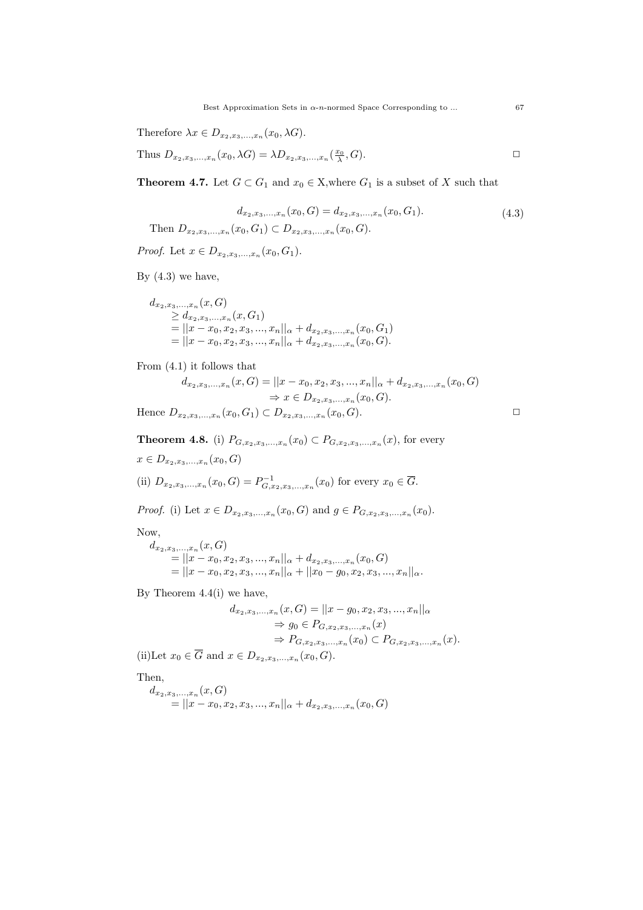Therefore  $\lambda x \in D_{x_2,x_3,...,x_n}(x_0, \lambda G)$ .

Thus 
$$
D_{x_2,x_3,...,x_n}(x_0,\lambda G) = \lambda D_{x_2,x_3,...,x_n}(\frac{x_0}{\lambda},G).
$$

**Theorem 4.7.** Let  $G \subset G_1$  and  $x_0 \in X$ , where  $G_1$  is a subset of X such that

$$
d_{x_2, x_3, \dots, x_n}(x_0, G) = d_{x_2, x_3, \dots, x_n}(x_0, G_1).
$$
\nThen  $D_{x_2, x_3, \dots, x_n}(x_0, G_1) \subset D_{x_2, x_3, \dots, x_n}(x_0, G).$ 

\n(4.3)

*Proof.* Let  $x \in D_{x_2, x_3, ..., x_n}(x_0, G_1)$ .

By  $(4.3)$  we have,

$$
d_{x_2,x_3,...,x_n}(x, G)
$$
  
\n
$$
\geq d_{x_2,x_3,...,x_n}(x, G_1)
$$
  
\n
$$
= ||x - x_0, x_2, x_3,...,x_n||_{\alpha} + d_{x_2,x_3,...,x_n}(x_0, G_1)
$$
  
\n
$$
= ||x - x_0, x_2, x_3,...,x_n||_{\alpha} + d_{x_2,x_3,...,x_n}(x_0, G).
$$

From (4.1) it follows that

$$
d_{x_2, x_3, \dots, x_n}(x, G) = ||x - x_0, x_2, x_3, \dots, x_n||_{\alpha} + d_{x_2, x_3, \dots, x_n}(x_0, G)
$$
  
\n
$$
\Rightarrow x \in D_{x_2, x_3, \dots, x_n}(x_0, G).
$$

Hence  $D_{x_2,x_3,...,x_n}(x_0, G_1) \subset D_{x_2,x_3,...,x_n}(x_0, G)$ .

**Theorem 4.8.** (i) 
$$
P_{G,x_2,x_3,...,x_n}(x_0) \subset P_{G,x_2,x_3,...,x_n}(x)
$$
, for every  $x \in D_{x_2,x_3,...,x_n}(x_0, G)$   
(ii)  $D_{x_2,x_3,...,x_n}(x_0, G) = P_{G,x_2,x_3,...,x_n}^{-1}(x_0)$  for every  $x_0 \in \overline{G}$ .

*Proof.* (i) Let  $x \in D_{x_2, x_3, ..., x_n}(x_0, G)$  and  $g \in P_{G, x_2, x_3, ..., x_n}(x_0)$ .

Now,

 $d_{x_2,x_3,...,x_n}(x, G)$  $= ||x-x_0, x_2, x_3, ..., x_n||_{\alpha} + d_{x_2, x_3, ..., x_n}(x_0, G)$  $= ||x - x_0, x_2, x_3, ..., x_n||_{\alpha} + ||x_0 - g_0, x_2, x_3, ..., x_n||_{\alpha}.$ 

By Theorem 4.4(i) we have,

$$
d_{x_2,x_3,...,x_n}(x, G) = ||x - g_0, x_2, x_3,...,x_n||_{\alpha}
$$
  
\n
$$
\Rightarrow g_0 \in P_{G,x_2,x_3,...,x_n}(x)
$$
  
\n
$$
\Rightarrow P_{G,x_2,x_3,...,x_n}(x_0) \subset P_{G,x_2,x_3,...,x_n}(x).
$$

(ii)Let  $x_0 \in G$  and  $x \in D_{x_2, x_3, ..., x_n}(x_0, G)$ .

Then,

$$
d_{x_2,x_3,...,x_n}(x, G)
$$
  
=  $||x - x_0, x_2, x_3,...,x_n||_{\alpha} + d_{x_2,x_3,...,x_n}(x_0, G)$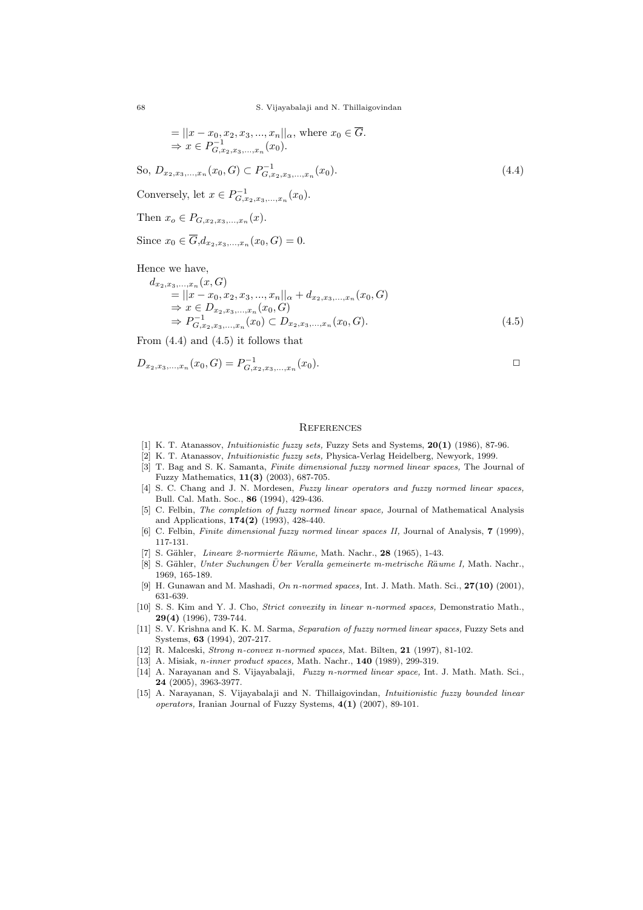68 S. Vijayabalaji and N. Thillaigovindan

$$
= ||x - x_0, x_2, x_3, ..., x_n||_{\alpha}, \text{ where } x_0 \in \overline{G}.
$$
  
\n⇒  $x \in P_{G, x_2, x_3, ..., x_n}^{-1}(x_0).$ 

So,  $D_{x_2, x_3, \dots, x_n}(x_0, G) \subset P_{G, x_2, x_3, \dots, x_n}^{-1}(x_0).$  (4.4)

Conversely, let  $x \in P_{G,x_2,x_3,...,x_n}^{-1}(x_0)$ .

Then  $x_o \in P_{G,x_2,x_3,...,x_n}(x)$ .

Since  $x_0 \in G, d_{x_2, x_3, ..., x_n}(x_0, G) = 0.$ 

Hence we have,

$$
d_{x_2,x_3,...,x_n}(x, G)
$$
  
=  $||x - x_0, x_2, x_3,...,x_n||_{\alpha} + d_{x_2,x_3,...,x_n}(x_0, G)$   
 $\Rightarrow x \in D_{x_2,x_3,...,x_n}(x_0, G)$   
 $\Rightarrow P_{G,x_2,x_3,...,x_n}^{-1}(x_0) \subset D_{x_2,x_3,...,x_n}(x_0, G).$  (4.5)

From  $(4.4)$  and  $(4.5)$  it follows that

$$
D_{x_2,x_3,...,x_n}(x_0, G) = P_{G,x_2,x_3,...,x_n}^{-1}(x_0).
$$

#### **REFERENCES**

- [1] K. T. Atanassov, Intuitionistic fuzzy sets, Fuzzy Sets and Systems, 20(1) (1986), 87-96.
- [2] K. T. Atanassov, Intuitionistic fuzzy sets, Physica-Verlag Heidelberg, Newyork, 1999.
- [3] T. Bag and S. K. Samanta, Finite dimensional fuzzy normed linear spaces, The Journal of Fuzzy Mathematics, 11(3) (2003), 687-705.
- [4] S. C. Chang and J. N. Mordesen, Fuzzy linear operators and fuzzy normed linear spaces, Bull. Cal. Math. Soc., 86 (1994), 429-436.
- [5] C. Felbin, The completion of fuzzy normed linear space, Journal of Mathematical Analysis and Applications, 174(2) (1993), 428-440.
- [6] C. Felbin, *Finite dimensional fuzzy normed linear spaces II*, Journal of Analysis, **7** (1999), 117-131.
- [7] S. Gähler, Lineare 2-normierte Räume, Math. Nachr., 28 (1965), 1-43.
- [8] S. Gähler, Unter Suchungen Über Veralla gemeinerte m-metrische Räume I, Math. Nachr., 1969, 165-189.
- [9] H. Gunawan and M. Mashadi, On  $n$ -normed spaces, Int. J. Math. Math. Sci.,  $27(10)$  (2001), 631-639.
- [10] S. S. Kim and Y. J. Cho, Strict convexity in linear n-normed spaces, Demonstratio Math., 29(4) (1996), 739-744.
- [11] S. V. Krishna and K. K. M. Sarma, Separation of fuzzy normed linear spaces, Fuzzy Sets and Systems, 63 (1994), 207-217.
- [12] R. Malceski, Strong n-convex n-normed spaces, Mat. Bilten, 21 (1997), 81-102.
- [13] A. Misiak, *n-inner product spaces*, Math. Nachr., **140** (1989), 299-319.
- [14] A. Narayanan and S. Vijayabalaji, Fuzzy n-normed linear space, Int. J. Math. Math. Sci., 24 (2005), 3963-3977.
- [15] A. Narayanan, S. Vijayabalaji and N. Thillaigovindan, Intuitionistic fuzzy bounded linear operators, Iranian Journal of Fuzzy Systems,  $4(1)$  (2007), 89-101.